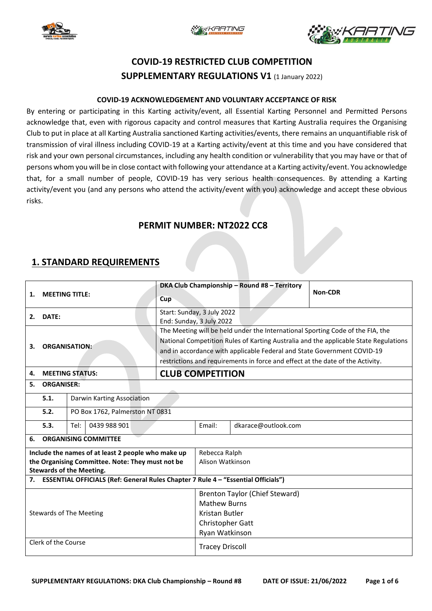





# **COVID-19 RESTRICTED CLUB COMPETITION SUPPLEMENTARY REGULATIONS V1** (1 January 2022)

#### **COVID-19 ACKNOWLEDGEMENT AND VOLUNTARY ACCEPTANCE OF RISK**

By entering or participating in this Karting activity/event, all Essential Karting Personnel and Permitted Persons acknowledge that, even with rigorous capacity and control measures that Karting Australia requires the Organising Club to put in place at all Karting Australia sanctioned Karting activities/events, there remains an unquantifiable risk of transmission of viral illness including COVID-19 at a Karting activity/event at this time and you have considered that risk and your own personal circumstances, including any health condition or vulnerability that you may have or that of persons whom you will be in close contact with following your attendance at a Karting activity/event. You acknowledge that, for a small number of people, COVID-19 has very serious health consequences. By attending a Karting activity/event you (and any persons who attend the activity/event with you) acknowledge and accept these obvious risks.

### **PERMIT NUMBER: NT2022 CC8**

### **1. STANDARD REQUIREMENTS**

| <b>MEETING TITLE:</b><br>1.                                                             |                                         |                            |     |                                                                                      | DKA Club Championship - Round #8 - Territory                                   | <b>Non-CDR</b>                                                                 |                                       |  |  |  |
|-----------------------------------------------------------------------------------------|-----------------------------------------|----------------------------|-----|--------------------------------------------------------------------------------------|--------------------------------------------------------------------------------|--------------------------------------------------------------------------------|---------------------------------------|--|--|--|
|                                                                                         |                                         |                            | Cup |                                                                                      |                                                                                |                                                                                |                                       |  |  |  |
| DATE:<br>2.                                                                             |                                         |                            |     | Start: Sunday, 3 July 2022                                                           |                                                                                |                                                                                |                                       |  |  |  |
|                                                                                         |                                         |                            |     | End: Sunday, 3 July 2022                                                             |                                                                                |                                                                                |                                       |  |  |  |
|                                                                                         |                                         |                            |     |                                                                                      |                                                                                | The Meeting will be held under the International Sporting Code of the FIA, the |                                       |  |  |  |
|                                                                                         | <b>ORGANISATION:</b><br>3.              |                            |     | National Competition Rules of Karting Australia and the applicable State Regulations |                                                                                |                                                                                |                                       |  |  |  |
|                                                                                         |                                         |                            |     |                                                                                      | and in accordance with applicable Federal and State Government COVID-19        |                                                                                |                                       |  |  |  |
|                                                                                         |                                         |                            |     |                                                                                      | restrictions and requirements in force and effect at the date of the Activity. |                                                                                |                                       |  |  |  |
| 4.                                                                                      | <b>MEETING STATUS:</b>                  |                            |     |                                                                                      | <b>CLUB COMPETITION</b>                                                        |                                                                                |                                       |  |  |  |
| 5.                                                                                      | <b>ORGANISER:</b>                       |                            |     |                                                                                      |                                                                                |                                                                                |                                       |  |  |  |
|                                                                                         | 5.1.                                    | Darwin Karting Association |     |                                                                                      |                                                                                |                                                                                |                                       |  |  |  |
|                                                                                         | 5.2.<br>PO Box 1762, Palmerston NT 0831 |                            |     |                                                                                      |                                                                                |                                                                                |                                       |  |  |  |
|                                                                                         | 5.3.                                    | 0439 988 901<br>Tel:       |     | Email:                                                                               | dkarace@outlook.com                                                            |                                                                                |                                       |  |  |  |
| 6.                                                                                      | <b>ORGANISING COMMITTEE</b>             |                            |     |                                                                                      |                                                                                |                                                                                |                                       |  |  |  |
| Include the names of at least 2 people who make up                                      |                                         |                            |     |                                                                                      |                                                                                | Rebecca Ralph                                                                  |                                       |  |  |  |
| the Organising Committee. Note: They must not be                                        |                                         |                            |     |                                                                                      |                                                                                | Alison Watkinson                                                               |                                       |  |  |  |
| <b>Stewards of the Meeting.</b>                                                         |                                         |                            |     |                                                                                      |                                                                                |                                                                                |                                       |  |  |  |
| ESSENTIAL OFFICIALS (Ref: General Rules Chapter 7 Rule 4 - "Essential Officials")<br>7. |                                         |                            |     |                                                                                      |                                                                                |                                                                                |                                       |  |  |  |
|                                                                                         |                                         |                            |     |                                                                                      |                                                                                |                                                                                | <b>Brenton Taylor (Chief Steward)</b> |  |  |  |
| <b>Stewards of The Meeting</b>                                                          |                                         |                            |     |                                                                                      | <b>Mathew Burns</b>                                                            |                                                                                |                                       |  |  |  |
|                                                                                         |                                         |                            |     |                                                                                      | Kristan Butler                                                                 |                                                                                |                                       |  |  |  |
|                                                                                         |                                         |                            |     |                                                                                      |                                                                                | Christopher Gatt                                                               |                                       |  |  |  |
|                                                                                         |                                         |                            |     |                                                                                      | Ryan Watkinson                                                                 |                                                                                |                                       |  |  |  |
| Clerk of the Course                                                                     |                                         |                            |     |                                                                                      | <b>Tracey Driscoll</b>                                                         |                                                                                |                                       |  |  |  |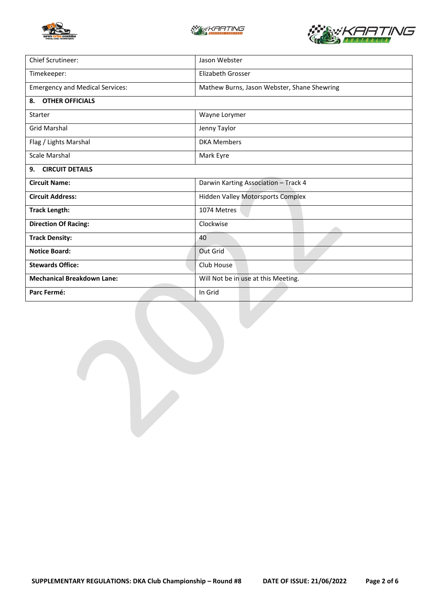





| Chief Scrutineer:                      | Jason Webster                               |  |  |  |
|----------------------------------------|---------------------------------------------|--|--|--|
| Timekeeper:                            | <b>Elizabeth Grosser</b>                    |  |  |  |
| <b>Emergency and Medical Services:</b> | Mathew Burns, Jason Webster, Shane Shewring |  |  |  |
| <b>OTHER OFFICIALS</b><br>8.           |                                             |  |  |  |
| Starter                                | Wayne Lorymer                               |  |  |  |
| <b>Grid Marshal</b>                    | Jenny Taylor                                |  |  |  |
| Flag / Lights Marshal                  | <b>DKA Members</b>                          |  |  |  |
| Scale Marshal                          | Mark Eyre                                   |  |  |  |
| <b>CIRCUIT DETAILS</b><br>9.           |                                             |  |  |  |
| <b>Circuit Name:</b>                   | Darwin Karting Association - Track 4        |  |  |  |
| <b>Circuit Address:</b>                | <b>Hidden Valley Motorsports Complex</b>    |  |  |  |
| <b>Track Length:</b>                   | 1074 Metres                                 |  |  |  |
| <b>Direction Of Racing:</b>            | Clockwise                                   |  |  |  |
| <b>Track Density:</b>                  | 40                                          |  |  |  |
| <b>Notice Board:</b>                   | Out Grid                                    |  |  |  |
| <b>Stewards Office:</b>                | Club House                                  |  |  |  |
| <b>Mechanical Breakdown Lane:</b>      | Will Not be in use at this Meeting.         |  |  |  |
| Parc Fermé:                            | In Grid                                     |  |  |  |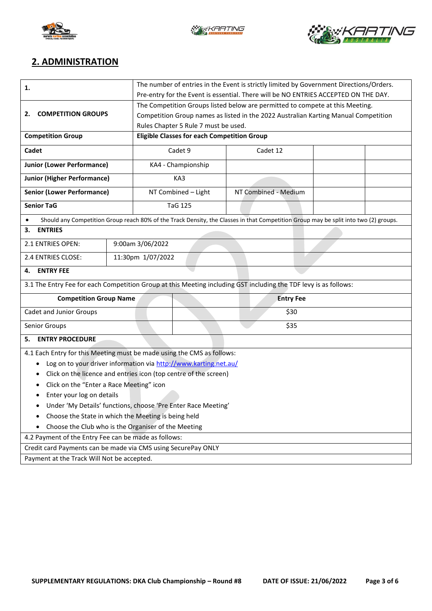





## **2. ADMINISTRATION**

| 1.                                                                                                                                   | The number of entries in the Event is strictly limited by Government Directions/Orders. |                                                    |                                      |                                                                                     |  |  |  |
|--------------------------------------------------------------------------------------------------------------------------------------|-----------------------------------------------------------------------------------------|----------------------------------------------------|--------------------------------------|-------------------------------------------------------------------------------------|--|--|--|
|                                                                                                                                      | Pre-entry for the Event is essential. There will be NO ENTRIES ACCEPTED ON THE DAY.     |                                                    |                                      |                                                                                     |  |  |  |
|                                                                                                                                      | The Competition Groups listed below are permitted to compete at this Meeting.           |                                                    |                                      |                                                                                     |  |  |  |
| <b>COMPETITION GROUPS</b><br>2.                                                                                                      |                                                                                         |                                                    |                                      | Competition Group names as listed in the 2022 Australian Karting Manual Competition |  |  |  |
|                                                                                                                                      |                                                                                         |                                                    | Rules Chapter 5 Rule 7 must be used. |                                                                                     |  |  |  |
| <b>Competition Group</b>                                                                                                             |                                                                                         | <b>Eligible Classes for each Competition Group</b> |                                      |                                                                                     |  |  |  |
| Cadet                                                                                                                                |                                                                                         | Cadet 9                                            |                                      | Cadet 12                                                                            |  |  |  |
| <b>Junior (Lower Performance)</b>                                                                                                    |                                                                                         |                                                    | KA4 - Championship                   |                                                                                     |  |  |  |
| <b>Junior (Higher Performance)</b>                                                                                                   |                                                                                         | KA3                                                |                                      |                                                                                     |  |  |  |
| <b>Senior (Lower Performance)</b>                                                                                                    |                                                                                         | NT Combined - Light                                |                                      | NT Combined - Medium                                                                |  |  |  |
| <b>Senior TaG</b>                                                                                                                    |                                                                                         |                                                    | <b>TaG 125</b>                       |                                                                                     |  |  |  |
| Should any Competition Group reach 80% of the Track Density, the Classes in that Competition Group may be split into two (2) groups. |                                                                                         |                                                    |                                      |                                                                                     |  |  |  |
| <b>ENTRIES</b><br>3.                                                                                                                 |                                                                                         |                                                    |                                      |                                                                                     |  |  |  |
| 2.1 ENTRIES OPEN:<br>9:00am 3/06/2022                                                                                                |                                                                                         |                                                    |                                      |                                                                                     |  |  |  |
| 2.4 ENTRIES CLOSE:                                                                                                                   |                                                                                         | 11:30pm 1/07/2022                                  |                                      |                                                                                     |  |  |  |
| <b>ENTRY FEE</b><br>4.                                                                                                               |                                                                                         |                                                    |                                      |                                                                                     |  |  |  |
| 3.1 The Entry Fee for each Competition Group at this Meeting including GST including the TDF levy is as follows:                     |                                                                                         |                                                    |                                      |                                                                                     |  |  |  |
| <b>Competition Group Name</b>                                                                                                        |                                                                                         | <b>Entry Fee</b>                                   |                                      |                                                                                     |  |  |  |
| Cadet and Junior Groups                                                                                                              |                                                                                         |                                                    | \$30                                 |                                                                                     |  |  |  |
| Senior Groups                                                                                                                        | \$35                                                                                    |                                                    |                                      |                                                                                     |  |  |  |
| <b>ENTRY PROCEDURE</b><br>5.                                                                                                         |                                                                                         |                                                    |                                      |                                                                                     |  |  |  |
| 4.1 Each Entry for this Meeting must be made using the CMS as follows:                                                               |                                                                                         |                                                    |                                      |                                                                                     |  |  |  |
| Log on to your driver information via http://www.karting.net.au/<br>٠                                                                |                                                                                         |                                                    |                                      |                                                                                     |  |  |  |
| Click on the licence and entries icon (top centre of the screen)<br>٠                                                                |                                                                                         |                                                    |                                      |                                                                                     |  |  |  |
| Click on the "Enter a Race Meeting" icon                                                                                             |                                                                                         |                                                    |                                      |                                                                                     |  |  |  |
| Enter your log on details                                                                                                            |                                                                                         |                                                    |                                      |                                                                                     |  |  |  |
| Under 'My Details' functions, choose 'Pre Enter Race Meeting'                                                                        |                                                                                         |                                                    |                                      |                                                                                     |  |  |  |
| Choose the State in which the Meeting is being held<br>٠                                                                             |                                                                                         |                                                    |                                      |                                                                                     |  |  |  |
| Choose the Club who is the Organiser of the Meeting                                                                                  |                                                                                         |                                                    |                                      |                                                                                     |  |  |  |
| 4.2 Payment of the Entry Fee can be made as follows:                                                                                 |                                                                                         |                                                    |                                      |                                                                                     |  |  |  |
| Credit card Payments can be made via CMS using SecurePay ONLY                                                                        |                                                                                         |                                                    |                                      |                                                                                     |  |  |  |
| Payment at the Track Will Not be accepted.                                                                                           |                                                                                         |                                                    |                                      |                                                                                     |  |  |  |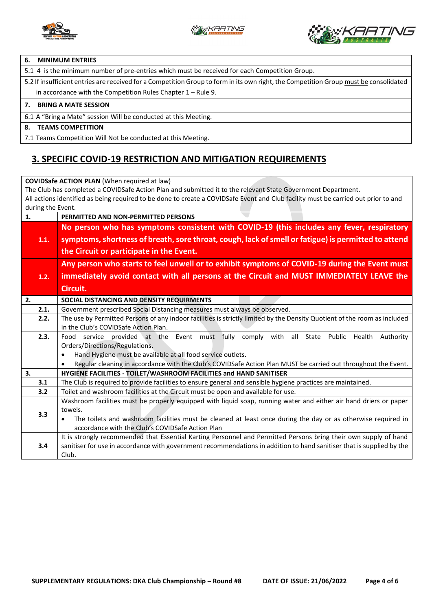



#### **6. MINIMUM ENTRIES**

5.1 4 is the minimum number of pre-entries which must be received for each Competition Group.

5.2 If insufficient entries are received for a Competition Group to form in its own right, the Competition Group must be consolidated in accordance with the Competition Rules Chapter 1 – Rule 9.

#### **7. BRING A MATE SESSION**

6.1 A "Bring a Mate" session Will be conducted at this Meeting.

#### **8. TEAMS COMPETITION**

7.1 Teams Competition Will Not be conducted at this Meeting.

### **3. SPECIFIC COVID-19 RESTRICTION AND MITIGATION REQUIREMENTS**

**COVIDSafe ACTION PLAN** (When required at law) The Club has completed a COVIDSafe Action Plan and submitted it to the relevant State Government Department. All actions identified as being required to be done to create a COVIDSafe Event and Club facility must be carried out prior to and during the Event. **1. PERMITTED AND NON-PERMITTED PERSONS 1.1. No person who has symptoms consistent with COVID-19 (this includes any fever, respiratory symptoms, shortness of breath, sore throat, cough, lack of smell or fatigue) is permitted to attend the Circuit or participate in the Event. 1.2. Any person who starts to feel unwell or to exhibit symptoms of COVID-19 during the Event must immediately avoid contact with all persons at the Circuit and MUST IMMEDIATELY LEAVE the Circuit. 2. SOCIAL DISTANCING AND DENSITY REQUIRMENTS**  2.1. Government prescribed Social Distancing measures must always be observed. **2.2.** The use by Permitted Persons of any indoor facilities is strictly limited by the Density Quotient of the room as included in the Club's COVIDSafe Action Plan. **2.3.** Food service provided at the Event must fully comply with all State Public Health Authority Orders/Directions/Regulations. • Hand Hygiene must be available at all food service outlets. • Regular cleaning in accordance with the Club's COVIDSafe Action Plan MUST be carried out throughout the Event. **3. HYGIENE FACILITIES - TOILET/WASHROOM FACILITIES and HAND SANITISER 3.1** The Club is required to provide facilities to ensure general and sensible hygiene practices are maintained. **3.2** Toilet and washroom facilities at the Circuit must be open and available for use. **3.3** Washroom facilities must be properly equipped with liquid soap, running water and either air hand driers or paper towels. • The toilets and washroom facilities must be cleaned at least once during the day or as otherwise required in accordance with the Club's COVIDSafe Action Plan **3.4** It is strongly recommended that Essential Karting Personnel and Permitted Persons bring their own supply of hand sanitiser for use in accordance with government recommendations in addition to hand sanitiser that is supplied by the Club.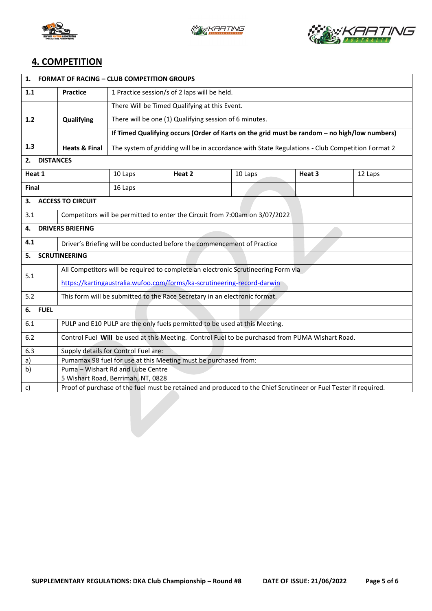





## **4. COMPETITION**

| 1.<br><b>FORMAT OF RACING - CLUB COMPETITION GROUPS</b>                                                               |                                                                                                 |                                                                                                 |        |         |        |         |  |  |
|-----------------------------------------------------------------------------------------------------------------------|-------------------------------------------------------------------------------------------------|-------------------------------------------------------------------------------------------------|--------|---------|--------|---------|--|--|
| 1.1                                                                                                                   | 1 Practice session/s of 2 laps will be held.<br><b>Practice</b>                                 |                                                                                                 |        |         |        |         |  |  |
|                                                                                                                       | Qualifying                                                                                      | There Will be Timed Qualifying at this Event.                                                   |        |         |        |         |  |  |
| $1.2$                                                                                                                 |                                                                                                 | There will be one (1) Qualifying session of 6 minutes.                                          |        |         |        |         |  |  |
|                                                                                                                       |                                                                                                 | If Timed Qualifying occurs (Order of Karts on the grid must be random - no high/low numbers)    |        |         |        |         |  |  |
| 1.3                                                                                                                   | <b>Heats &amp; Final</b>                                                                        | The system of gridding will be in accordance with State Regulations - Club Competition Format 2 |        |         |        |         |  |  |
| 2.<br><b>DISTANCES</b>                                                                                                |                                                                                                 |                                                                                                 |        |         |        |         |  |  |
| Heat 1                                                                                                                |                                                                                                 | 10 Laps                                                                                         | Heat 2 | 10 Laps | Heat 3 | 12 Laps |  |  |
| Final                                                                                                                 |                                                                                                 | 16 Laps                                                                                         |        |         |        |         |  |  |
| 3.                                                                                                                    | <b>ACCESS TO CIRCUIT</b>                                                                        |                                                                                                 |        |         |        |         |  |  |
| 3.1                                                                                                                   | Competitors will be permitted to enter the Circuit from 7:00am on 3/07/2022                     |                                                                                                 |        |         |        |         |  |  |
| 4.                                                                                                                    | <b>DRIVERS BRIEFING</b>                                                                         |                                                                                                 |        |         |        |         |  |  |
| 4.1                                                                                                                   | Driver's Briefing will be conducted before the commencement of Practice                         |                                                                                                 |        |         |        |         |  |  |
| <b>SCRUTINEERING</b><br>5.                                                                                            |                                                                                                 |                                                                                                 |        |         |        |         |  |  |
|                                                                                                                       | All Competitors will be required to complete an electronic Scrutineering Form via               |                                                                                                 |        |         |        |         |  |  |
| 5.1                                                                                                                   | https://kartingaustralia.wufoo.com/forms/ka-scrutineering-record-darwin                         |                                                                                                 |        |         |        |         |  |  |
| 5.2                                                                                                                   | This form will be submitted to the Race Secretary in an electronic format.                      |                                                                                                 |        |         |        |         |  |  |
| 6. FUEL                                                                                                               |                                                                                                 |                                                                                                 |        |         |        |         |  |  |
| 6.1                                                                                                                   | PULP and E10 PULP are the only fuels permitted to be used at this Meeting.                      |                                                                                                 |        |         |        |         |  |  |
| 6.2                                                                                                                   | Control Fuel Will be used at this Meeting. Control Fuel to be purchased from PUMA Wishart Road. |                                                                                                 |        |         |        |         |  |  |
| 6.3                                                                                                                   | Supply details for Control Fuel are:                                                            |                                                                                                 |        |         |        |         |  |  |
| a)                                                                                                                    | Pumamax 98 fuel for use at this Meeting must be purchased from:                                 |                                                                                                 |        |         |        |         |  |  |
| b)                                                                                                                    |                                                                                                 | Puma - Wishart Rd and Lube Centre                                                               |        |         |        |         |  |  |
|                                                                                                                       | 5 Wishart Road, Berrimah, NT, 0828                                                              |                                                                                                 |        |         |        |         |  |  |
| Proof of purchase of the fuel must be retained and produced to the Chief Scrutineer or Fuel Tester if required.<br>c) |                                                                                                 |                                                                                                 |        |         |        |         |  |  |